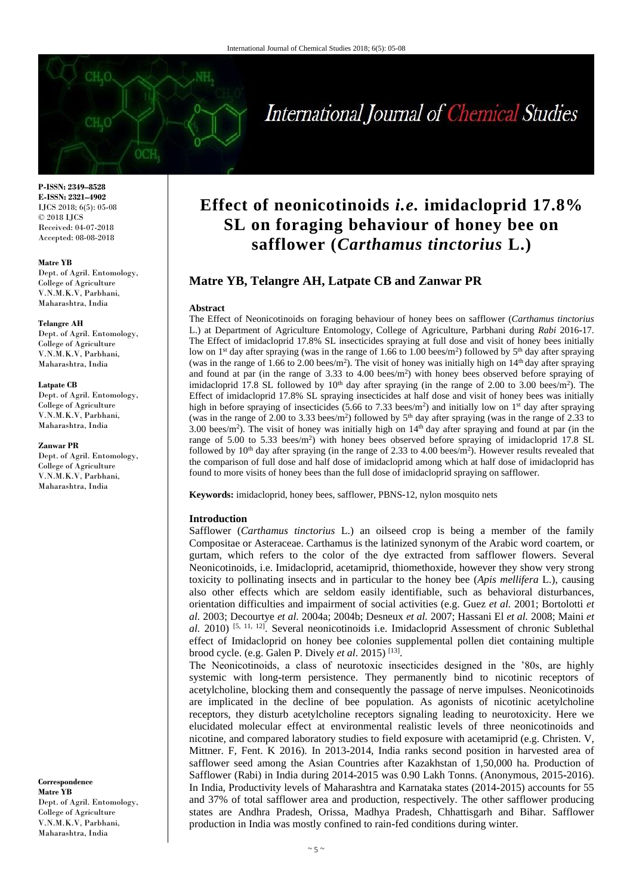

**P-ISSN: 2349–8528 E-ISSN: 2321–4902** IJCS 2018; 6(5): 05-08 © 2018 IJCS Received: 04-07-2018 Accepted: 08-08-2018

### **Matre YB**

Dept. of Agril. Entomology, College of Agriculture V.N.M.K.V, Parbhani, Maharashtra, India

#### **Telangre AH**

Dept. of Agril. Entomology, College of Agriculture V.N.M.K.V, Parbhani, Maharashtra, India

#### **Latpate CB**

Dept. of Agril. Entomology, College of Agriculture V.N.M.K.V, Parbhani, Maharashtra, India

### **Zanwar PR**

Dept. of Agril. Entomology, College of Agriculture V.N.M.K.V, Parbhani, Maharashtra, India

**Correspondence Matre YB** Dept. of Agril. Entomology, College of Agriculture V.N.M.K.V, Parbhani, Maharashtra, India

# **Effect of neonicotinoids** *i.e.* **imidacloprid 17.8% SL on foraging behaviour of honey bee on safflower (***Carthamus tinctorius* **L.)**

# **Matre YB, Telangre AH, Latpate CB and Zanwar PR**

#### **Abstract**

The Effect of Neonicotinoids on foraging behaviour of honey bees on safflower (*Carthamus tinctorius* L.) at Department of Agriculture Entomology, College of Agriculture, Parbhani during *Rabi* 2016**-**17. The Effect of imidacloprid 17.8% SL insecticides spraying at full dose and visit of honey bees initially low on 1<sup>st</sup> day after spraying (was in the range of 1.66 to 1.00 bees/m<sup>2</sup>) followed by  $5<sup>th</sup>$  day after spraying (was in the range of 1.66 to 2.00 bees/ $m^2$ ). The visit of honey was initially high on  $14<sup>th</sup>$  day after spraying and found at par (in the range of  $3.33$  to  $4.00$  bees/m<sup>2</sup>) with honey bees observed before spraying of imidacloprid 17.8 SL followed by  $10<sup>th</sup>$  day after spraying (in the range of 2.00 to 3.00 bees/m<sup>2</sup>). The Effect of imidacloprid 17.8% SL spraying insecticides at half dose and visit of honey bees was initially high in before spraying of insecticides  $(5.66 \text{ to } 7.33 \text{ bees/m}^2)$  and initially low on 1<sup>st</sup> day after spraying (was in the range of 2.00 to 3.33 bees/m<sup>2</sup>) followed by  $5<sup>th</sup>$  day after spraying (was in the range of 2.33 to 3.00 bees/m<sup>2</sup>). The visit of honey was initially high on  $14<sup>th</sup>$  day after spraying and found at par (in the range of 5.00 to 5.33 bees/m<sup>2</sup>) with honey bees observed before spraying of imidacloprid 17.8 SL followed by  $10<sup>th</sup>$  day after spraying (in the range of 2.33 to 4.00 bees/m<sup>2</sup>). However results revealed that the comparison of full dose and half dose of imidacloprid among which at half dose of imidacloprid has found to more visits of honey bees than the full dose of imidacloprid spraying on safflower.

**Keywords:** imidacloprid, honey bees, safflower, PBNS**-**12, nylon mosquito nets

### **Introduction**

Safflower (*Carthamus tinctorius* L.) an oilseed crop is being a member of the family Compositae or Asteraceae. Carthamus is the latinized synonym of the Arabic word coartem, or gurtam, which refers to the color of the dye extracted from safflower flowers. Several Neonicotinoids, i.e. Imidacloprid, acetamiprid, thiomethoxide, however they show very strong toxicity to pollinating insects and in particular to the honey bee (*Apis mellifera* L.), causing also other effects which are seldom easily identifiable, such as behavioral disturbances, orientation difficulties and impairment of social activities (e.g. Guez *et al.* 2001; Bortolotti *et al.* 2003; Decourtye *et al.* 2004a; 2004b; Desneux *et al.* 2007; Hassani El *et al.* 2008; Maini *et*  al. 2010)<sup>[5, 11, 12]</sup>. Several neonicotinoids i.e. Imidacloprid Assessment of chronic Sublethal effect of Imidacloprid on honey bee colonies supplemental pollen diet containing multiple brood cycle. (e.g. Galen P. Dively *et al.* 2015)<sup>[13]</sup>.

The Neonicotinoids, a class of neurotoxic insecticides designed in the '80s, are highly systemic with long**-**term persistence. They permanently bind to nicotinic receptors of acetylcholine, blocking them and consequently the passage of nerve impulses. Neonicotinoids are implicated in the decline of bee population. As agonists of nicotinic acetylcholine receptors, they disturb acetylcholine receptors signaling leading to neurotoxicity. Here we elucidated molecular effect at environmental realistic levels of three neonicotinoids and nicotine, and compared laboratory studies to field exposure with acetamiprid (e.g. Christen. V, Mittner. F, Fent. K 2016). In 2013**-**2014, India ranks second position in harvested area of safflower seed among the Asian Countries after Kazakhstan of 1,50,000 ha. Production of Safflower (Rabi) in India during 2014**-**2015 was 0.90 Lakh Tonns. (Anonymous, 2015**-**2016). In India, Productivity levels of Maharashtra and Karnataka states (2014**-**2015) accounts for 55 and 37% of total safflower area and production, respectively. The other safflower producing states are Andhra Pradesh, Orissa, Madhya Pradesh, Chhattisgarh and Bihar. Safflower production in India was mostly confined to rain**-**fed conditions during winter.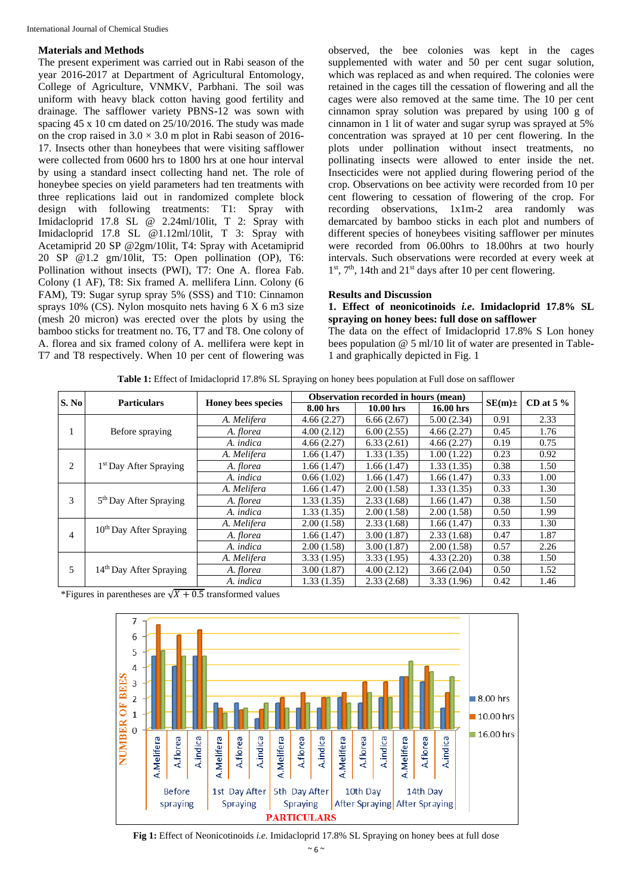## **Materials and Methods**

The present experiment was carried out in Rabi season of the year 2016**-**2017 at Department of Agricultural Entomology, College of Agriculture, VNMKV, Parbhani. The soil was uniform with heavy black cotton having good fertility and drainage. The safflower variety PBNS**-**12 was sown with spacing 45 x 10 cm dated on 25/10/2016. The study was made on the crop raised in 3.0 × 3.0 m plot in Rabi season of 2016**-** 17. Insects other than honeybees that were visiting safflower were collected from 0600 hrs to 1800 hrs at one hour interval by using a standard insect collecting hand net. The role of honeybee species on yield parameters had ten treatments with three replications laid out in randomized complete block design with following treatments: T1: Spray with Imidacloprid 17.8 SL @ 2.24ml/10lit, T 2: Spray with Imidacloprid 17.8 SL @1.12ml/10lit, T 3: Spray with Acetamiprid 20 SP @2gm/10lit, T4: Spray with Acetamiprid 20 SP @1.2 gm/10lit, T5: Open pollination (OP), T6: Pollination without insects (PWI), T7: One A. florea Fab. Colony (1 AF), T8: Six framed A. mellifera Linn. Colony (6 FAM), T9: Sugar syrup spray 5% (SSS) and T10: Cinnamon sprays  $10\%$  (CS). Nylon mosquito nets having 6 X 6 m3 size (mesh 20 micron) was erected over the plots by using the bamboo sticks for treatment no. T6, T7 and T8. One colony of A. florea and six framed colony of A. mellifera were kept in T7 and T8 respectively. When 10 per cent of flowering was observed, the bee colonies was kept in the cages supplemented with water and 50 per cent sugar solution, which was replaced as and when required. The colonies were retained in the cages till the cessation of flowering and all the cages were also removed at the same time. The 10 per cent cinnamon spray solution was prepared by using 100 g of cinnamon in 1 lit of water and sugar syrup was sprayed at 5% concentration was sprayed at 10 per cent flowering. In the plots under pollination without insect treatments, no pollinating insects were allowed to enter inside the net. Insecticides were not applied during flowering period of the crop. Observations on bee activity were recorded from 10 per cent flowering to cessation of flowering of the crop. For recording observations, 1x1m-2 area randomly was demarcated by bamboo sticks in each plot and numbers of different species of honeybees visiting safflower per minutes were recorded from 06.00hrs to 18.00hrs at two hourly intervals. Such observations were recorded at every week at 1<sup>st</sup>, 7<sup>th</sup>, 14th and 21<sup>st</sup> days after 10 per cent flowering.

# **Results and Discussion**

**1. Effect of neonicotinoids** *i.e***. Imidacloprid 17.8% SL spraying on honey bees: full dose on safflower**

The data on the effect of Imidacloprid 17.8% S Lon honey bees population @ 5 ml/10 lit of water are presented in Table**-**1 and graphically depicted in Fig. 1

| Table 1: Effect of Imidacloprid 17.8% SL Spraying on honey bees population at Full dose on safflower |
|------------------------------------------------------------------------------------------------------|
|------------------------------------------------------------------------------------------------------|

| S. No | <b>Particulars</b>                  | Honey bees species | Observation recorded in hours (mean) |             |             |             | CD at $5\%$ |
|-------|-------------------------------------|--------------------|--------------------------------------|-------------|-------------|-------------|-------------|
|       |                                     |                    | 8.00 hrs                             | $10.00$ hrs | $16.00$ hrs | $SE(m) \pm$ |             |
|       | Before spraying                     | A. Melifera        | 4.66(2.27)                           | 6.66(2.67)  | 5.00(2.34)  | 0.91        | 2.33        |
|       |                                     | A. florea          | 4.00(2.12)                           | 6.00(2.55)  | 4.66(2.27)  | 0.45        | 1.76        |
|       |                                     | A. indica          | 4.66(2.27)                           | 6.33(2.61)  | 4.66(2.27)  | 0.19        | 0.75        |
| 2     | 1 <sup>st</sup> Day After Spraying  | A. Melifera        | 1.66(1.47)                           | 1.33(1.35)  | 1.00(1.22)  | 0.23        | 0.92        |
|       |                                     | A. florea          | 1.66(1.47)                           | 1.66(1.47)  | 1.33(1.35)  | 0.38        | 1.50        |
|       |                                     | A. indica          | 0.66(1.02)                           | 1.66(1.47)  | 1.66(1.47)  | 0.33        | 1.00        |
| 3     | 5 <sup>th</sup> Day After Spraying  | A. Melifera        | 1.66(1.47)                           | 2.00(1.58)  | 1.33(1.35)  | 0.33        | 1.30        |
|       |                                     | A. florea          | 1.33(1.35)                           | 2.33(1.68)  | 1.66(1.47)  | 0.38        | 1.50        |
|       |                                     | A. indica          | 1.33(1.35)                           | 2.00(1.58)  | 2.00(1.58)  | 0.50        | 1.99        |
| 4     | 10 <sup>th</sup> Day After Spraying | A. Melifera        | 2.00(1.58)                           | 2.33(1.68)  | 1.66(1.47)  | 0.33        | 1.30        |
|       |                                     | A. <i>florea</i>   | 1.66(1.47)                           | 3.00(1.87)  | 2.33(1.68)  | 0.47        | 1.87        |
|       |                                     | A. indica          | 2.00(1.58)                           | 3.00(1.87)  | 2.00(1.58)  | 0.57        | 2.26        |
| 5     | 14 <sup>th</sup> Day After Spraying | A. Melifera        | 3.33(1.95)                           | 3.33(1.95)  | 4.33(2.20)  | 0.38        | 1.50        |
|       |                                     | A. florea          | 3.00(1.87)                           | 4.00(2.12)  | 3.66(2.04)  | 0.50        | 1.52        |
|       |                                     | A. indica          | 1.33(1.35)                           | 2.33(2.68)  | 3.33(1.96)  | 0.42        | 1.46        |

\*Figures in parentheses are  $\sqrt{X + 0.5}$  transformed values



**Fig 1:** Effect of Neonicotinoids *i.e.* Imidacloprid 17.8% SL Spraying on honey bees at full dose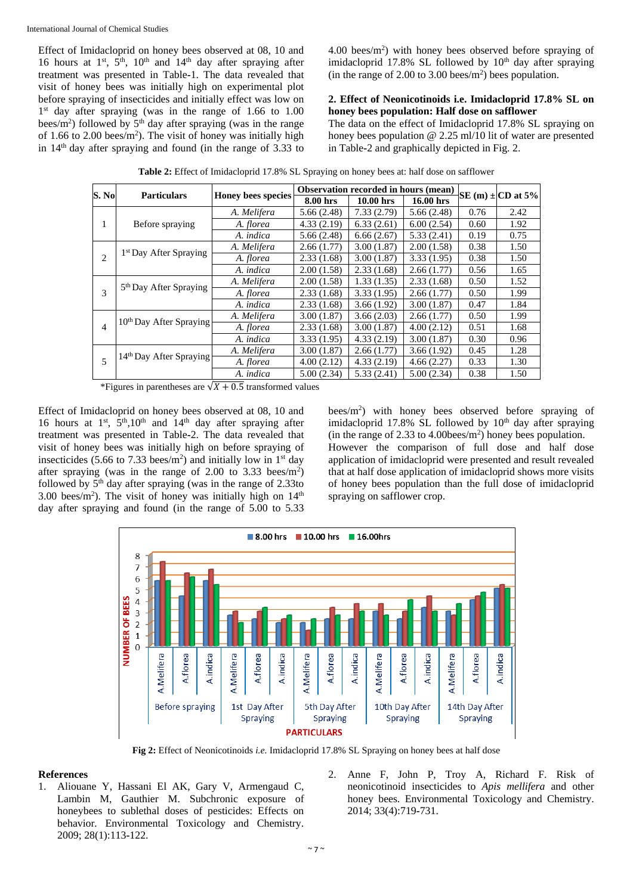International Journal of Chemical Studies

Effect of Imidacloprid on honey bees observed at 08, 10 and 16 hours at  $1<sup>st</sup>$ ,  $5<sup>th</sup>$ ,  $10<sup>th</sup>$  and  $14<sup>th</sup>$  day after spraying after treatment was presented in Table**-**1. The data revealed that visit of honey bees was initially high on experimental plot before spraying of insecticides and initially effect was low on 1<sup>st</sup> day after spraying (was in the range of 1.66 to 1.00 bees/ $m<sup>2</sup>$ ) followed by  $5<sup>th</sup>$  day after spraying (was in the range of 1.66 to 2.00 bees/ $m<sup>2</sup>$ ). The visit of honey was initially high in  $14<sup>th</sup>$  day after spraying and found (in the range of 3.33 to

4.00 bees/m<sup>2</sup> ) with honey bees observed before spraying of imidacloprid  $17.8\%$  SL followed by  $10<sup>th</sup>$  day after spraying (in the range of 2.00 to 3.00 bees/ $m<sup>2</sup>$ ) bees population.

# **2. Effect of Neonicotinoids i.e. Imidacloprid 17.8% SL on honey bees population: Half dose on safflower**

The data on the effect of Imidacloprid 17.8% SL spraying on honey bees population @ 2.25 ml/10 lit of water are presented in Table**-**2 and graphically depicted in Fig. 2.

|                | <b>Particulars</b>                  | Honey bees species | Observation recorded in hours (mean) |             |            |      |                       |
|----------------|-------------------------------------|--------------------|--------------------------------------|-------------|------------|------|-----------------------|
| S. No          |                                     |                    | 8.00 hrs                             | $10.00$ hrs | 16.00 hrs  |      | SE (m) $\pm$ CD at 5% |
| 1              | Before spraying                     | A. Melifera        | 5.66(2.48)                           | 7.33(2.79)  | 5.66(2.48) | 0.76 | 2.42                  |
|                |                                     | A. <i>florea</i>   | 4.33(2.19)                           | 6.33(2.61)  | 6.00(2.54) | 0.60 | 1.92                  |
|                |                                     | A. indica          | 5.66(2.48)                           | 6.66(2.67)  | 5.33(2.41) | 0.19 | 0.75                  |
| 2              | 1 <sup>st</sup> Day After Spraying  | A. Melifera        | 2.66(1.77)                           | 3.00(1.87)  | 2.00(1.58) | 0.38 | 1.50                  |
|                |                                     | A. florea          | 2.33(1.68)                           | 3.00(1.87)  | 3.33(1.95) | 0.38 | 1.50                  |
|                |                                     | A. indica          | 2.00(1.58)                           | 2.33(1.68)  | 2.66(1.77) | 0.56 | 1.65                  |
| $\mathcal{R}$  | 5 <sup>th</sup> Day After Spraying  | A. Melifera        | 2.00(1.58)                           | 1.33(1.35)  | 2.33(1.68) | 0.50 | 1.52                  |
|                |                                     | A. <i>florea</i>   | 2.33(1.68)                           | 3.33(1.95)  | 2.66(1.77) | 0.50 | 1.99                  |
|                |                                     | A. indica          | 2.33(1.68)                           | 3.66(1.92)  | 3.00(1.87) | 0.47 | 1.84                  |
| $\overline{4}$ | 10 <sup>th</sup> Day After Spraying | A. Melifera        | 3.00(1.87)                           | 3.66(2.03)  | 2.66(1.77) | 0.50 | 1.99                  |
|                |                                     | A. <i>florea</i>   | 2.33(1.68)                           | 3.00(1.87)  | 4.00(2.12) | 0.51 | 1.68                  |
|                |                                     | A. indica          | 3.33(1.95)                           | 4.33(2.19)  | 3.00(1.87) | 0.30 | 0.96                  |
| 5              | 14 <sup>th</sup> Day After Spraying | A. Melifera        | 3.00(1.87)                           | 2.66(1.77)  | 3.66(1.92) | 0.45 | 1.28                  |
|                |                                     | A. florea          | 4.00(2.12)                           | 4.33(2.19)  | 4.66(2.27) | 0.33 | 1.30                  |
|                |                                     | A. indica          | 5.00(2.34)                           | 5.33(2.41)  | 5.00(2.34) | 0.38 | 1.50                  |

**Table 2:** Effect of Imidacloprid 17.8% SL Spraying on honey bees at: half dose on safflower

\*Figures in parentheses are  $\sqrt{X + 0.5}$  transformed values

Effect of Imidacloprid on honey bees observed at 08, 10 and 16 hours at  $1<sup>st</sup>$ ,  $5<sup>th</sup>$ ,10<sup>th</sup> and  $14<sup>th</sup>$  day after spraying after treatment was presented in Table**-**2. The data revealed that visit of honey bees was initially high on before spraying of insecticides (5.66 to 7.33 bees/m<sup>2</sup>) and initially low in  $1<sup>st</sup>$  day after spraying (was in the range of  $2.00$  to  $3.33$  bees/m<sup>2</sup>) followed by  $5<sup>th</sup>$  day after spraying (was in the range of 2.33to 3.00 bees/ $m<sup>2</sup>$ ). The visit of honey was initially high on  $14<sup>th</sup>$ day after spraying and found (in the range of 5.00 to 5.33

bees/m<sup>2</sup> ) with honey bees observed before spraying of imidacloprid  $17.8\%$  SL followed by  $10<sup>th</sup>$  day after spraying (in the range of 2.33 to 4.00bees/m<sup>2</sup> ) honey bees population. However the comparison of full dose and half dose application of imidacloprid were presented and result revealed that at half dose application of imidacloprid shows more visits of honey bees population than the full dose of imidacloprid spraying on safflower crop.



**Fig 2:** Effect of Neonicotinoids *i.e.* Imidacloprid 17.8% SL Spraying on honey bees at half dose

# **References**

- 1. Aliouane Y, Hassani El AK, Gary V, Armengaud C, Lambin M, Gauthier M. Subchronic exposure of honeybees to sublethal doses of pesticides: Effects on behavior*.* Environmental Toxicology and Chemistry. 2009; 28(1):113**-**122.
- 2. Anne F, John P, Troy A, Richard F. Risk of neonicotinoid insecticides to *Apis mellifera* and other honey bees. Environmental Toxicology and Chemistry. 2014; 33(4):719**-**731.